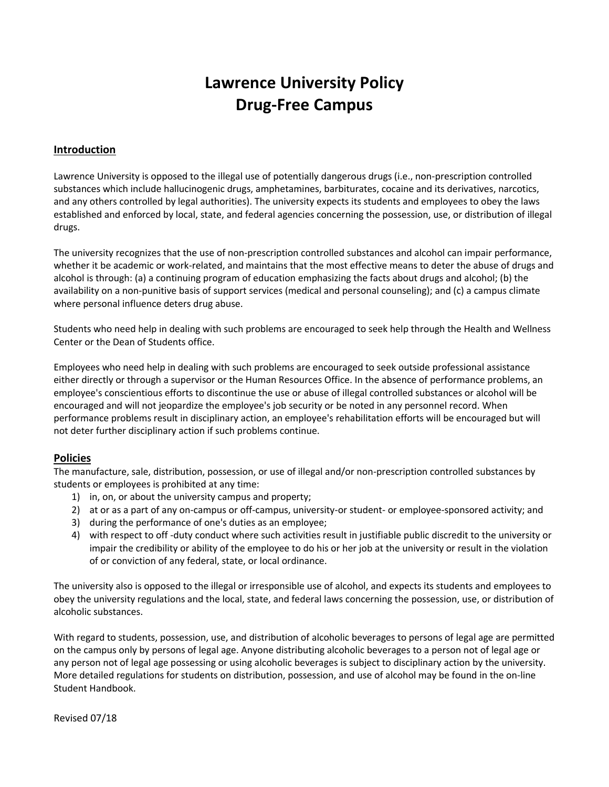# **Lawrence University Policy Drug-Free Campus**

### **Introduction**

Lawrence University is opposed to the illegal use of potentially dangerous drugs (i.e., non-prescription controlled substances which include hallucinogenic drugs, amphetamines, barbiturates, cocaine and its derivatives, narcotics, and any others controlled by legal authorities). The university expects its students and employees to obey the laws established and enforced by local, state, and federal agencies concerning the possession, use, or distribution of illegal drugs.

The university recognizes that the use of non-prescription controlled substances and alcohol can impair performance, whether it be academic or work-related, and maintains that the most effective means to deter the abuse of drugs and alcohol is through: (a) a continuing program of education emphasizing the facts about drugs and alcohol; (b) the availability on a non-punitive basis of support services (medical and personal counseling); and (c) a campus climate where personal influence deters drug abuse.

Students who need help in dealing with such problems are encouraged to seek help through the Health and Wellness Center or the Dean of Students office.

Employees who need help in dealing with such problems are encouraged to seek outside professional assistance either directly or through a supervisor or the Human Resources Office. In the absence of performance problems, an employee's conscientious efforts to discontinue the use or abuse of illegal controlled substances or alcohol will be encouraged and will not jeopardize the employee's job security or be noted in any personnel record. When performance problems result in disciplinary action, an employee's rehabilitation efforts will be encouraged but will not deter further disciplinary action if such problems continue.

#### **Policies**

The manufacture, sale, distribution, possession, or use of illegal and/or non-prescription controlled substances by students or employees is prohibited at any time:

- 1) in, on, or about the university campus and property;
- 2) at or as a part of any on-campus or off-campus, university-or student- or employee-sponsored activity; and
- 3) during the performance of one's duties as an employee;
- 4) with respect to off -duty conduct where such activities result in justifiable public discredit to the university or impair the credibility or ability of the employee to do his or her job at the university or result in the violation of or conviction of any federal, state, or local ordinance.

The university also is opposed to the illegal or irresponsible use of alcohol, and expects its students and employees to obey the university regulations and the local, state, and federal laws concerning the possession, use, or distribution of alcoholic substances.

With regard to students, possession, use, and distribution of alcoholic beverages to persons of legal age are permitted on the campus only by persons of legal age. Anyone distributing alcoholic beverages to a person not of legal age or any person not of legal age possessing or using alcoholic beverages is subject to disciplinary action by the university. More detailed regulations for students on distribution, possession, and use of alcohol may be found in the on-line Student Handbook.

Revised 07/18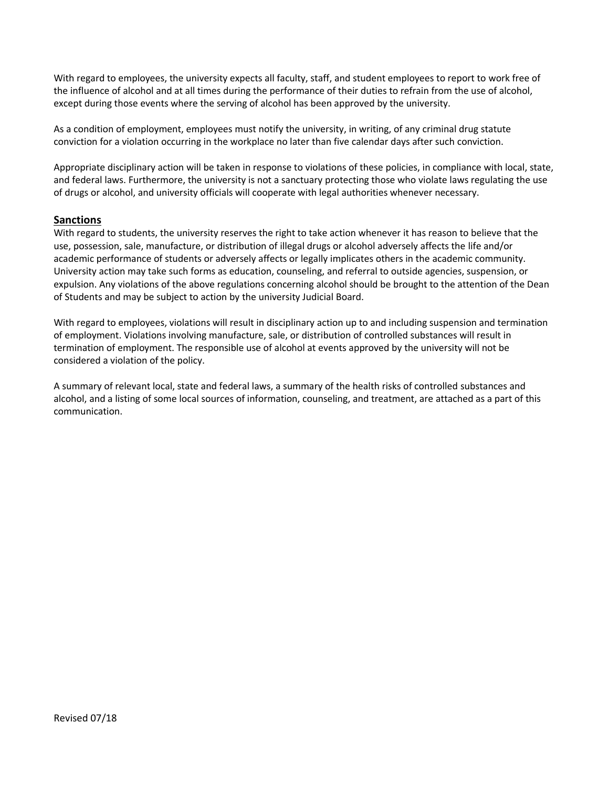With regard to employees, the university expects all faculty, staff, and student employees to report to work free of the influence of alcohol and at all times during the performance of their duties to refrain from the use of alcohol, except during those events where the serving of alcohol has been approved by the university.

As a condition of employment, employees must notify the university, in writing, of any criminal drug statute conviction for a violation occurring in the workplace no later than five calendar days after such conviction.

Appropriate disciplinary action will be taken in response to violations of these policies, in compliance with local, state, and federal laws. Furthermore, the university is not a sanctuary protecting those who violate laws regulating the use of drugs or alcohol, and university officials will cooperate with legal authorities whenever necessary.

#### **Sanctions**

With regard to students, the university reserves the right to take action whenever it has reason to believe that the use, possession, sale, manufacture, or distribution of illegal drugs or alcohol adversely affects the life and/or academic performance of students or adversely affects or legally implicates others in the academic community. University action may take such forms as education, counseling, and referral to outside agencies, suspension, or expulsion. Any violations of the above regulations concerning alcohol should be brought to the attention of the Dean of Students and may be subject to action by the university Judicial Board.

With regard to employees, violations will result in disciplinary action up to and including suspension and termination of employment. Violations involving manufacture, sale, or distribution of controlled substances will result in termination of employment. The responsible use of alcohol at events approved by the university will not be considered a violation of the policy.

A summary of relevant local, state and federal laws, a summary of the health risks of controlled substances and alcohol, and a listing of some local sources of information, counseling, and treatment, are attached as a part of this communication.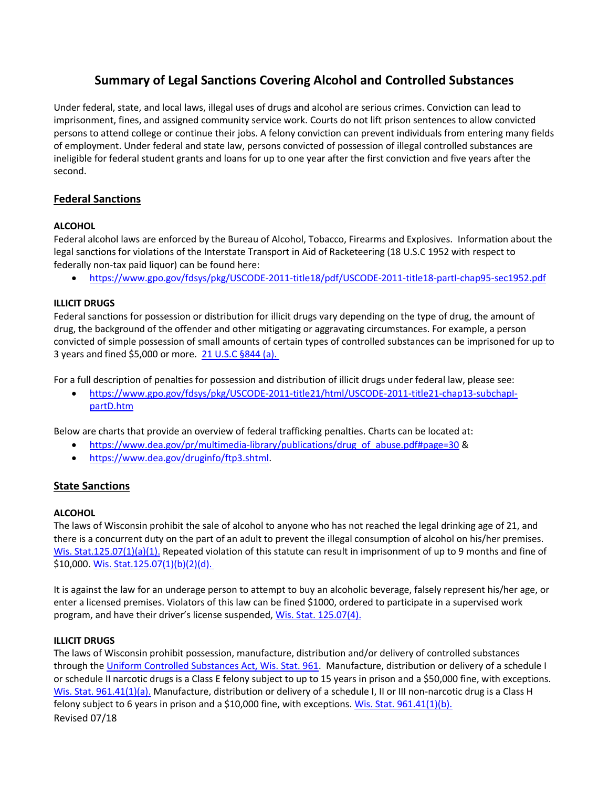# **Summary of Legal Sanctions Covering Alcohol and Controlled Substances**

Under federal, state, and local laws, illegal uses of drugs and alcohol are serious crimes. Conviction can lead to imprisonment, fines, and assigned community service work. Courts do not lift prison sentences to allow convicted persons to attend college or continue their jobs. A felony conviction can prevent individuals from entering many fields of employment. Under federal and state law, persons convicted of possession of illegal controlled substances are ineligible for federal student grants and loans for up to one year after the first conviction and five years after the second.

# **Federal Sanctions**

### **ALCOHOL**

Federal alcohol laws are enforced by the Bureau of Alcohol, Tobacco, Firearms and Explosives. Information about the legal sanctions for violations of the Interstate Transport in Aid of Racketeering (18 U.S.C 1952 with respect to federally non-tax paid liquor) can be found here:

<https://www.gpo.gov/fdsys/pkg/USCODE-2011-title18/pdf/USCODE-2011-title18-partI-chap95-sec1952.pdf>

#### **ILLICIT DRUGS**

Federal sanctions for possession or distribution for illicit drugs vary depending on the type of drug, the amount of drug, the background of the offender and other mitigating or aggravating circumstances. For example, a person convicted of simple possession of small amounts of certain types of controlled substances can be imprisoned for up to 3 years and fined \$5,000 or more. 21 U.S.C [§844 \(a\).](https://www.gpo.gov/fdsys/pkg/USCODE-2011-title21/html/USCODE-2011-title21-chap13-subchapI-partD-sec844.htm) 

For a full description of penalties for possession and distribution of illicit drugs under federal law, please see:

 [https://www.gpo.gov/fdsys/pkg/USCODE-2011-title21/html/USCODE-2011-title21-chap13-subchapI](https://www.gpo.gov/fdsys/pkg/USCODE-2011-title21/html/USCODE-2011-title21-chap13-subchapI-partD.htm)[partD.htm](https://www.gpo.gov/fdsys/pkg/USCODE-2011-title21/html/USCODE-2011-title21-chap13-subchapI-partD.htm)

Below are charts that provide an overview of federal trafficking penalties. Charts can be located at:

- [https://www.dea.gov/pr/multimedia-library/publications/drug\\_of\\_abuse.pdf#page=30](https://www.dea.gov/pr/multimedia-library/publications/drug_of_abuse.pdf#page=30) &
- [https://www.dea.gov/druginfo/ftp3.shtml.](https://www.dea.gov/druginfo/ftp3.shtml)

### **State Sanctions**

#### **ALCOHOL**

The laws of Wisconsin prohibit the sale of alcohol to anyone who has not reached the legal drinking age of 21, and there is a concurrent duty on the part of an adult to prevent the illegal consumption of alcohol on his/her premises. [Wis. Stat.125.07\(1\)\(a\)\(1\).](http://docs.legis.wisconsin.gov/statutes/statutes/125/I/07) Repeated violation of this statute can result in imprisonment of up to 9 months and fine of \$10,000[. Wis. Stat.125.07\(1\)\(b\)\(2\)\(d\).](http://docs.legis.wisconsin.gov/statutes/statutes/125/I/07) 

It is against the law for an underage person to attempt to buy an alcoholic beverage, falsely represent his/her age, or enter a licensed premises. Violators of this law can be fined \$1000, ordered to participate in a supervised work program, and have their driver's license suspended, [Wis. Stat. 125.07\(4\).](http://docs.legis.wisconsin.gov/statutes/statutes/125/I/07)

#### **ILLICIT DRUGS**

Revised 07/18 The laws of Wisconsin prohibit possession, manufacture, distribution and/or delivery of controlled substances through the [Uniform Controlled Substances Act, Wis. Stat. 961.](http://docs.legis.wisconsin.gov/statutes/statutes/961) Manufacture, distribution or delivery of a schedule I or schedule II narcotic drugs is a Class E felony subject to up to 15 years in prison and a \$50,000 fine, with exceptions. [Wis. Stat. 961.41\(1\)\(a\).](http://docs.legis.wisconsin.gov/statutes/statutes/961/IV/41) Manufacture, distribution or delivery of a schedule I, II or III non-narcotic drug is a Class H felony subject to 6 years in prison and a \$10,000 fine, with exceptions[. Wis. Stat. 961.41\(1\)\(b\).](http://docs.legis.wisconsin.gov/statutes/statutes/961/IV/41)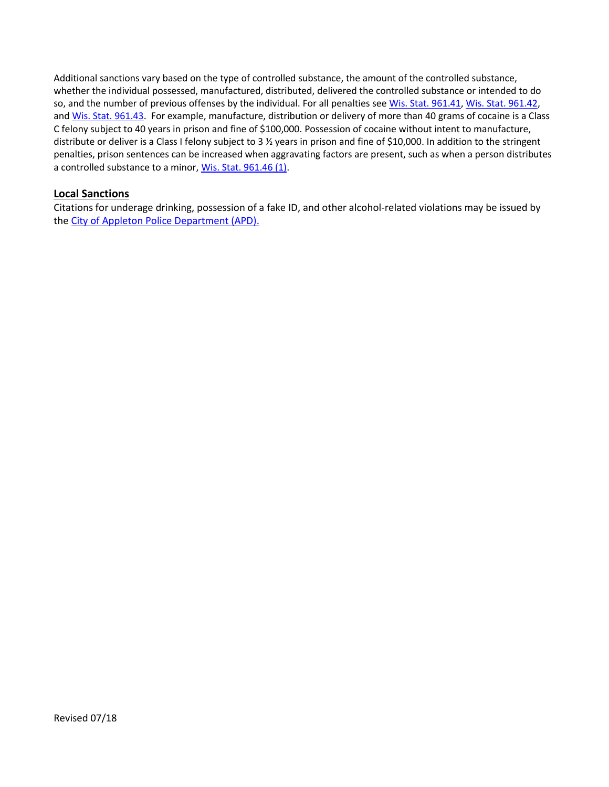Additional sanctions vary based on the type of controlled substance, the amount of the controlled substance, whether the individual possessed, manufactured, distributed, delivered the controlled substance or intended to do so, and the number of previous offenses by the individual. For all penalties see [Wis. Stat. 961.41,](http://docs.legis.wisconsin.gov/statutes/statutes/961/IV/41) [Wis. Stat. 961.42,](http://docs.legis.wisconsin.gov/statutes/statutes/961/IV/42) an[d Wis. Stat. 961.43.](http://docs.legis.wisconsin.gov/statutes/statutes/961/IV/43) For example, manufacture, distribution or delivery of more than 40 grams of cocaine is a Class C felony subject to 40 years in prison and fine of \$100,000. Possession of cocaine without intent to manufacture, distribute or deliver is a Class I felony subject to 3 ½ years in prison and fine of \$10,000. In addition to the stringent penalties, prison sentences can be increased when aggravating factors are present, such as when a person distributes a controlled substance to a minor, [Wis. Stat. 961.46 \(1\).](http://docs.legis.wisconsin.gov/statutes/statutes/961/IV/46)

# **Local Sanctions**

Citations for underage drinking, possession of a fake ID, and other alcohol-related violations may be issued by the [City of Appleton Police Department \(APD\).](http://www.cityofmadison.com/police/)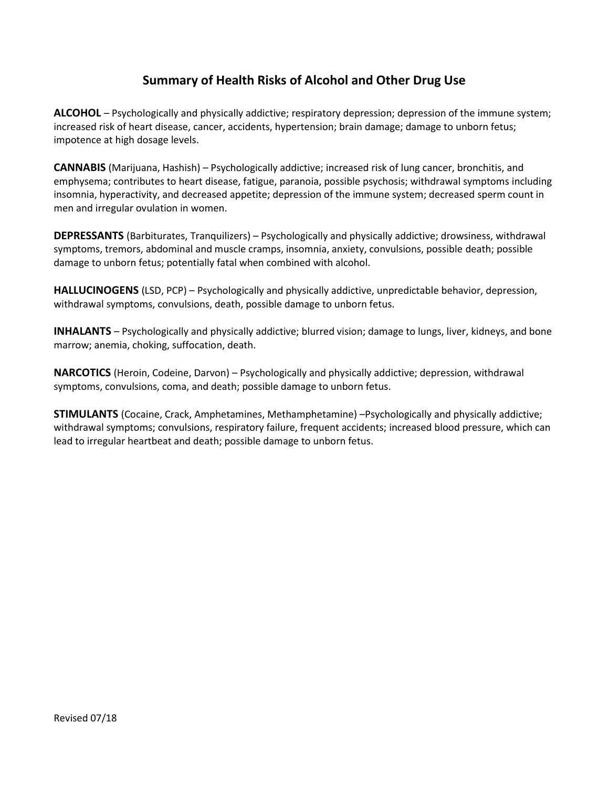# **Summary of Health Risks of Alcohol and Other Drug Use**

**ALCOHOL** – Psychologically and physically addictive; respiratory depression; depression of the immune system; increased risk of heart disease, cancer, accidents, hypertension; brain damage; damage to unborn fetus; impotence at high dosage levels.

**CANNABIS** (Marijuana, Hashish) – Psychologically addictive; increased risk of lung cancer, bronchitis, and emphysema; contributes to heart disease, fatigue, paranoia, possible psychosis; withdrawal symptoms including insomnia, hyperactivity, and decreased appetite; depression of the immune system; decreased sperm count in men and irregular ovulation in women.

**DEPRESSANTS** (Barbiturates, Tranquilizers) – Psychologically and physically addictive; drowsiness, withdrawal symptoms, tremors, abdominal and muscle cramps, insomnia, anxiety, convulsions, possible death; possible damage to unborn fetus; potentially fatal when combined with alcohol.

**HALLUCINOGENS** (LSD, PCP) – Psychologically and physically addictive, unpredictable behavior, depression, withdrawal symptoms, convulsions, death, possible damage to unborn fetus.

**INHALANTS** – Psychologically and physically addictive; blurred vision; damage to lungs, liver, kidneys, and bone marrow; anemia, choking, suffocation, death.

**NARCOTICS** (Heroin, Codeine, Darvon) – Psychologically and physically addictive; depression, withdrawal symptoms, convulsions, coma, and death; possible damage to unborn fetus.

**STIMULANTS** (Cocaine, Crack, Amphetamines, Methamphetamine) –Psychologically and physically addictive; withdrawal symptoms; convulsions, respiratory failure, frequent accidents; increased blood pressure, which can lead to irregular heartbeat and death; possible damage to unborn fetus.